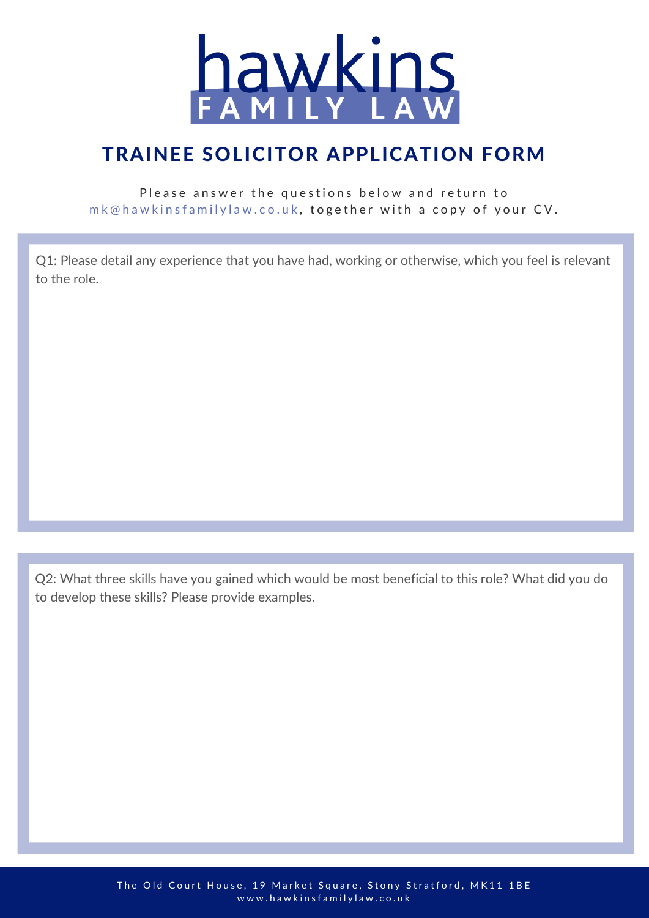

#### TRAINEE SOLICITOR APPLICATION FORM

#### Please answer the questions below and return to mk@hawkinsfamilylaw.co.uk, together with a copy of your CV.

Q1: Please detail any experience that you have had, working or otherwise, which you feel is relevant to the role.

Q2: What three skills have you gained which would be most beneficial to this role? What did you do to develop these skills? Please provide examples.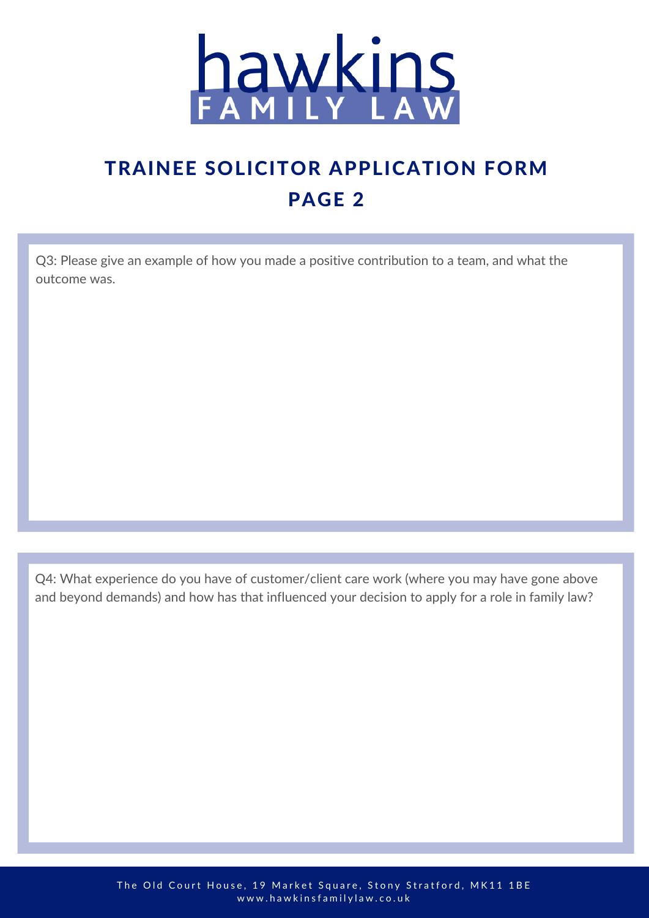

# TRAINEE SOLICITOR APPLICATION FORM PAGE 2

Q3: Please give an example of how you made a positive contribution to a team, and what the outcome was.

Q4: What experience do you have of customer/client care work (where you may have gone above and beyond demands) and how has that influenced your decision to apply for a role in family law?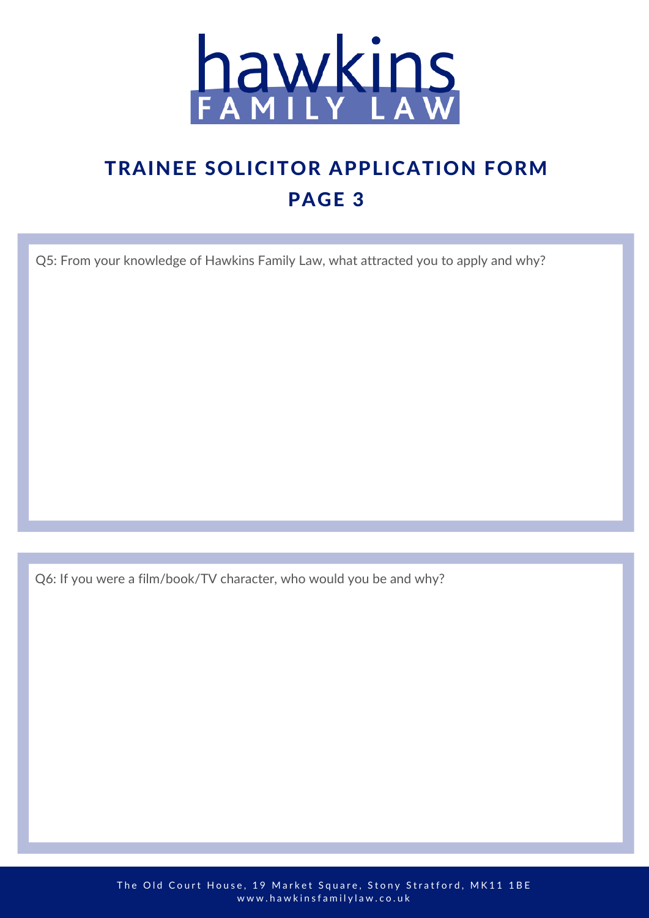

## TRAINEE SOLICITOR APPLICATION FORM PAGE 3

Q5: From your knowledge of Hawkins Family Law, what attracted you to apply and why?

Q6: If you were a film/book/TV character, who would you be and why?